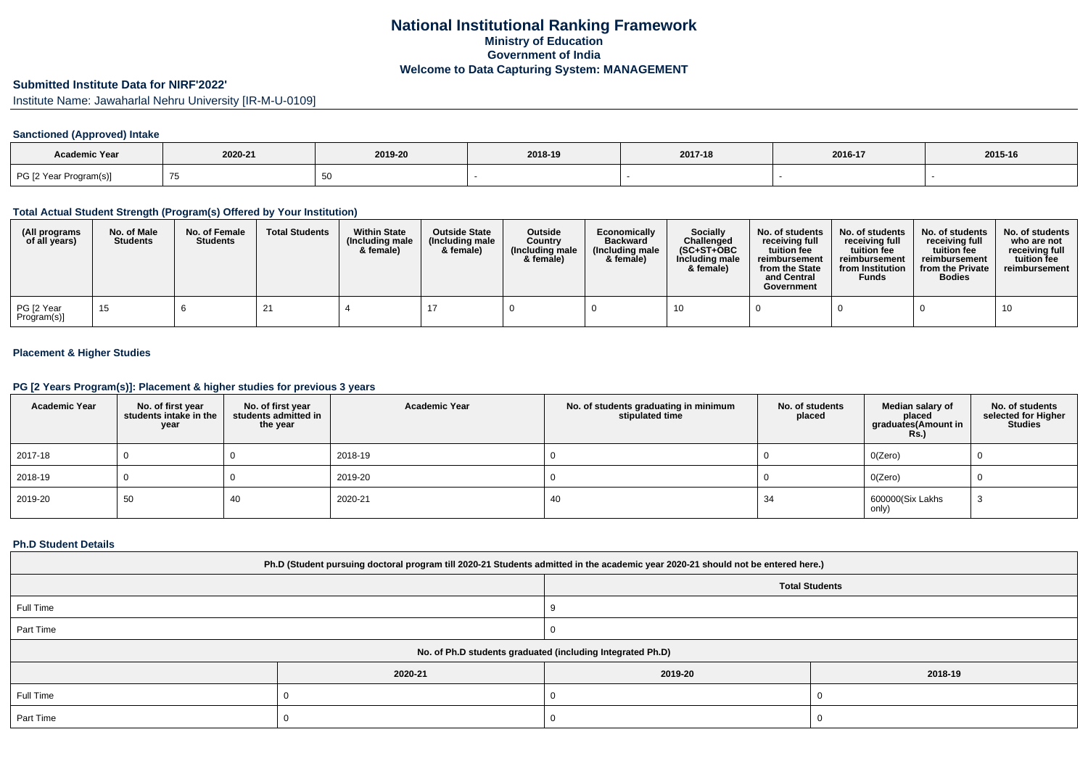# **Submitted Institute Data for NIRF'2022'**

Institute Name: Jawaharlal Nehru University [IR-M-U-0109]

### **Sanctioned (Approved) Intake**

| <b>Academic Year</b>   | 2020-21 | 2019-20 | 2018-19 | 2017-18 | 2016-17 | 2015-16 |
|------------------------|---------|---------|---------|---------|---------|---------|
| PG [2 Year Program(s)] |         |         |         |         |         |         |

#### **Total Actual Student Strength (Program(s) Offered by Your Institution)**

| (All programs<br>of all years) | No. of Male<br><b>Students</b> | No. of Female<br><b>Students</b> | <b>Total Students</b> | <b>Within State</b><br>(Including male<br>& female) | <b>Outside State</b><br>(Including male)<br>& female) | <b>Outside</b><br>Country<br>(Including male<br>& female) | Economically<br><b>Backward</b><br>(Including male)<br>& female) | <b>Socially</b><br>Challenged<br>$(SC+ST+OBC)$<br>Including male<br>& female) | No. of students<br>receivina full<br>tuition fee<br>reimbursement<br>from the State<br>and Central<br>Government | No. of students<br>receiving full<br>tuition fee<br>reimbursement<br>from Institution<br><b>Funds</b> | No. of students<br>receiving full<br>tuition fee<br>reimbursement<br>from the Private<br><b>Bodies</b> | No. of students<br>who are not<br>receiving full<br>tuition fee<br>reimbursement |
|--------------------------------|--------------------------------|----------------------------------|-----------------------|-----------------------------------------------------|-------------------------------------------------------|-----------------------------------------------------------|------------------------------------------------------------------|-------------------------------------------------------------------------------|------------------------------------------------------------------------------------------------------------------|-------------------------------------------------------------------------------------------------------|--------------------------------------------------------------------------------------------------------|----------------------------------------------------------------------------------|
| PG [2 Year<br>Program(s)]      | 15                             |                                  |                       |                                                     |                                                       |                                                           |                                                                  |                                                                               |                                                                                                                  |                                                                                                       |                                                                                                        |                                                                                  |

### **Placement & Higher Studies**

#### **PG [2 Years Program(s)]: Placement & higher studies for previous 3 years**

| <b>Academic Year</b> | No. of first year<br>students intake in the<br>year | No. of first vear<br>students admitted in<br>the year | <b>Academic Year</b> | No. of students graduating in minimum<br>stipulated time | No. of students<br>placed | Median salary of<br>placed<br>graduates(Amount in<br><b>Rs.)</b> | No. of students<br>selected for Higher<br><b>Studies</b> |
|----------------------|-----------------------------------------------------|-------------------------------------------------------|----------------------|----------------------------------------------------------|---------------------------|------------------------------------------------------------------|----------------------------------------------------------|
| 2017-18              |                                                     |                                                       | 2018-19              |                                                          |                           | O(Zero)                                                          |                                                          |
| 2018-19              |                                                     |                                                       | 2019-20              |                                                          |                           | O(Zero)                                                          |                                                          |
| 2019-20              | 50                                                  | 40                                                    | 2020-21              | 40                                                       | 34                        | 600000(Six Lakhs<br>only)                                        |                                                          |

#### **Ph.D Student Details**

| Ph.D (Student pursuing doctoral program till 2020-21 Students admitted in the academic year 2020-21 should not be entered here.) |         |                       |         |  |  |  |
|----------------------------------------------------------------------------------------------------------------------------------|---------|-----------------------|---------|--|--|--|
|                                                                                                                                  |         | <b>Total Students</b> |         |  |  |  |
| Full Time                                                                                                                        |         |                       |         |  |  |  |
| Part Time                                                                                                                        |         |                       |         |  |  |  |
| No. of Ph.D students graduated (including Integrated Ph.D)                                                                       |         |                       |         |  |  |  |
|                                                                                                                                  | 2020-21 | 2019-20               | 2018-19 |  |  |  |
| Full Time                                                                                                                        |         |                       |         |  |  |  |
| Part Time                                                                                                                        |         |                       |         |  |  |  |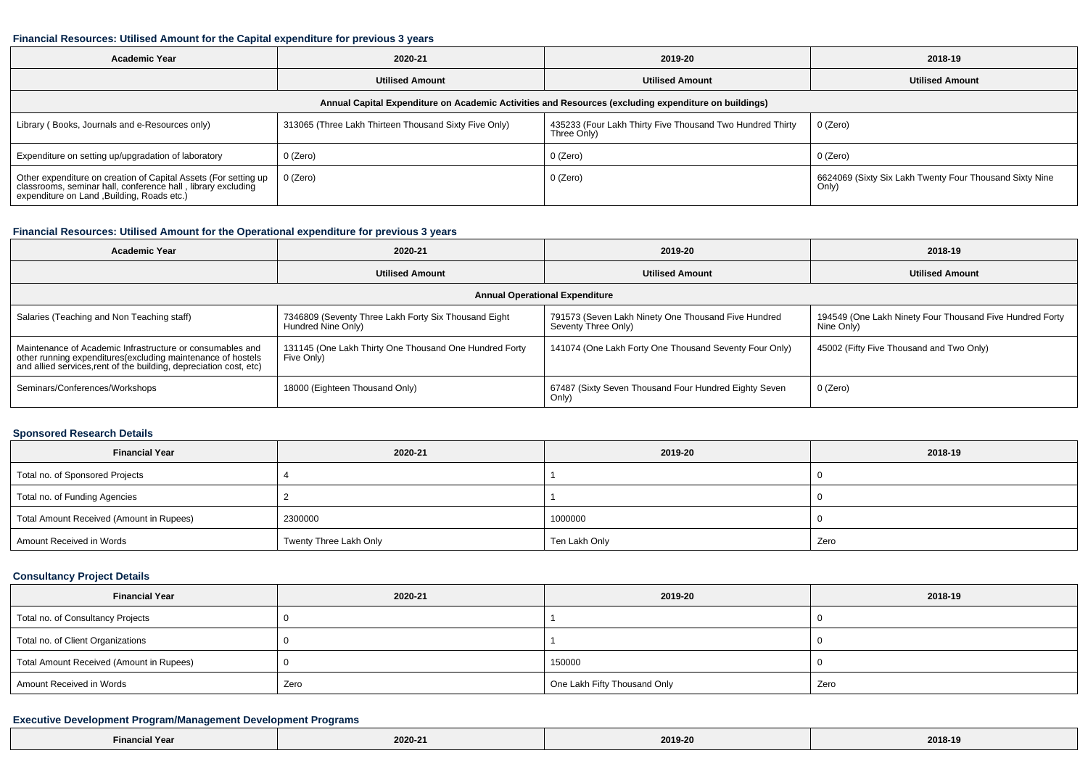#### **Financial Resources: Utilised Amount for the Capital expenditure for previous 3 years**

| <b>Academic Year</b>                                                                                                                                                           | 2020-21                                               | 2019-20                                                                  | 2018-19                                                          |  |  |  |  |  |
|--------------------------------------------------------------------------------------------------------------------------------------------------------------------------------|-------------------------------------------------------|--------------------------------------------------------------------------|------------------------------------------------------------------|--|--|--|--|--|
|                                                                                                                                                                                | <b>Utilised Amount</b><br><b>Utilised Amount</b>      |                                                                          | <b>Utilised Amount</b>                                           |  |  |  |  |  |
| Annual Capital Expenditure on Academic Activities and Resources (excluding expenditure on buildings)                                                                           |                                                       |                                                                          |                                                                  |  |  |  |  |  |
| Library (Books, Journals and e-Resources only)                                                                                                                                 | 313065 (Three Lakh Thirteen Thousand Sixty Five Only) | 435233 (Four Lakh Thirty Five Thousand Two Hundred Thirty<br>Three Only) | 0 (Zero)                                                         |  |  |  |  |  |
| Expenditure on setting up/upgradation of laboratory                                                                                                                            | 0 (Zero)                                              | 0 (Zero)                                                                 | 0 (Zero)                                                         |  |  |  |  |  |
| Other expenditure on creation of Capital Assets (For setting up<br>classrooms, seminar hall, conference hall, library excluding<br>expenditure on Land , Building, Roads etc.) | 0 (Zero)                                              | 0 (Zero)                                                                 | 6624069 (Sixty Six Lakh Twenty Four Thousand Sixty Nine<br>Only) |  |  |  |  |  |

# **Financial Resources: Utilised Amount for the Operational expenditure for previous 3 years**

| <b>Academic Year</b>                                                                                                                                                                            | 2020-21                                                                    | 2019-20                                                                    | 2018-19                                                                |  |  |  |  |  |
|-------------------------------------------------------------------------------------------------------------------------------------------------------------------------------------------------|----------------------------------------------------------------------------|----------------------------------------------------------------------------|------------------------------------------------------------------------|--|--|--|--|--|
|                                                                                                                                                                                                 | <b>Utilised Amount</b>                                                     | <b>Utilised Amount</b>                                                     | <b>Utilised Amount</b>                                                 |  |  |  |  |  |
| <b>Annual Operational Expenditure</b>                                                                                                                                                           |                                                                            |                                                                            |                                                                        |  |  |  |  |  |
| Salaries (Teaching and Non Teaching staff)                                                                                                                                                      | 7346809 (Seventy Three Lakh Forty Six Thousand Eight<br>Hundred Nine Only) | 791573 (Seven Lakh Ninety One Thousand Five Hundred<br>Seventy Three Only) | 194549 (One Lakh Ninety Four Thousand Five Hundred Forty<br>Nine Only) |  |  |  |  |  |
| Maintenance of Academic Infrastructure or consumables and<br>other running expenditures (excluding maintenance of hostels<br>and allied services, rent of the building, depreciation cost, etc) | 131145 (One Lakh Thirty One Thousand One Hundred Forty<br>Five Only)       | 141074 (One Lakh Forty One Thousand Seventy Four Only)                     | 45002 (Fifty Five Thousand and Two Only)                               |  |  |  |  |  |
| Seminars/Conferences/Workshops                                                                                                                                                                  | 18000 (Eighteen Thousand Only)                                             | 67487 (Sixty Seven Thousand Four Hundred Eighty Seven<br>Only)             | 0 (Zero)                                                               |  |  |  |  |  |

#### **Sponsored Research Details**

| <b>Financial Year</b>                    | 2020-21                | 2019-20       | 2018-19 |
|------------------------------------------|------------------------|---------------|---------|
| Total no. of Sponsored Projects          |                        |               |         |
| Total no. of Funding Agencies            |                        |               |         |
| Total Amount Received (Amount in Rupees) | 2300000                | 1000000       |         |
| Amount Received in Words                 | Twenty Three Lakh Only | Ten Lakh Only | Zero    |

# **Consultancy Project Details**

| <b>Financial Year</b>                    | 2020-21 | 2019-20                      | 2018-19 |  |
|------------------------------------------|---------|------------------------------|---------|--|
| Total no. of Consultancy Projects        |         |                              |         |  |
| Total no. of Client Organizations        |         |                              |         |  |
| Total Amount Received (Amount in Rupees) |         | 150000                       |         |  |
| Amount Received in Words                 | Zero    | One Lakh Fifty Thousand Only | Zero    |  |

### **Executive Development Program/Management Development Programs**

| $- \cdot$<br>ıl Year<br>Financia<br>the contract of the contract of the contract of the contract of the contract of the contract of the contract of | 2020-21<br>the contract of the contract of | 2019-20<br>$\sim$ $\sim$ $\sim$ | 2018-19 |
|-----------------------------------------------------------------------------------------------------------------------------------------------------|--------------------------------------------|---------------------------------|---------|
|-----------------------------------------------------------------------------------------------------------------------------------------------------|--------------------------------------------|---------------------------------|---------|